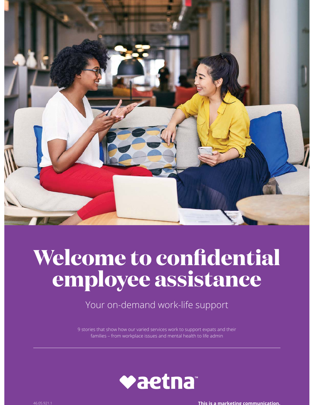

# **Welcome to confidential employee assistance**

Your on-demand work-life support

9 stories that show how our varied services work to support expats and their families – from workplace issues and mental health to life admin



46.05.921.1 **This is a marketing communication.**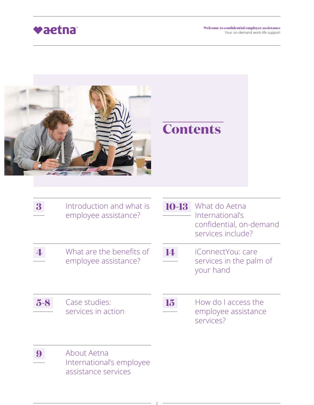

|                  |                                                                |           | <b>Contents</b>                                                                  |
|------------------|----------------------------------------------------------------|-----------|----------------------------------------------------------------------------------|
| 3                | Introduction and what is<br>employee assistance?               | 10-13     | What do Aetna<br>International's<br>confidential, on-demand<br>services include? |
|                  | What are the benefits of<br>employee assistance?               | 14        | iConnectYou: care<br>services in the palm of<br>your hand                        |
| $5-8$            | <b>Case studies:</b><br>services in action                     | <b>19</b> | How do I access the<br>employee assistance<br>services?                          |
| $\boldsymbol{9}$ | About Aetna<br>International's employee<br>assistance services |           |                                                                                  |

2

 $\overline{\phantom{0}}$ 

 $\overline{\phantom{a}}$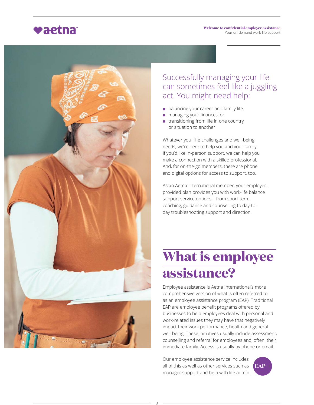



### Successfully managing your life can sometimes feel like a juggling act. You might need help:

- $\bullet$  balancing your career and family life,
- managing your finances, or
- **•** transitioning from life in one country or situation to another

Whatever your life challenges and well-being needs, we're here to help you and your family. If you'd like in-person support, we can help you make a connection with a skilled professional. And, for on-the-go members, there are phone and digital options for access to support, too.

As an Aetna International member, your employerprovided plan provides you with work-life balance support service options – from short-term coaching, guidance and counselling to day-today troubleshooting support and direction.

## **What is employee assistance?**

Employee assistance is Aetna International's more comprehensive version of what is often referred to as an employee assistance program (EAP). Traditional EAP are employee benefit programs offered by businesses to help employees deal with personal and work-related issues they may have that negatively impact their work performance, health and general well-being. These initiatives usually include assessment, counselling and referral for employees and, often, their immediate family. Access is usually by phone or email.

Our employee assistance service includes all of this as well as other services such as manager support and help with life admin.

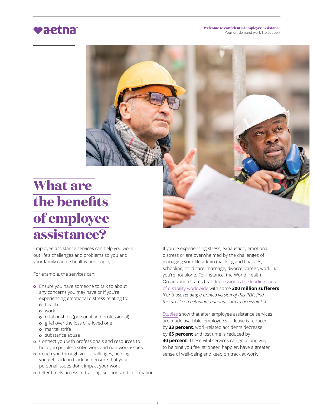## **What are** the benefits **of employee assistance?**

Employee assistance services can help you work out life's challenges and problems so you and your family can be healthy and happy.

For example, the services can:

- **o** Ensure you have someone to talk to about any concerns you may have or if you're experiencing emotional distress relating to:
	- **o** health
	- work
	- **o** relationships (personal and professional)
	- **o** grief over the loss of a loved one
	- marital strife
	- substance abuse
- **o** Connect you with professionals and resources to help you problem solve work and non-work issues
- o Coach you through your challenges, helping you get back on track and ensure that your personal issues don't impact your work
- **o** Offer timely access to training, support and information

If you're experiencing stress, exhaustion, emotional distress or are overwhelmed by the challenges of managing your life admin (banking and finances, schooling, child care, marriage, divorce, career, work...), you're not alone. For instance, the World Health Organization states that depression is the leading cause of disability worldwide with some **300 million sufferers**. [For those reading a printed version of this PDF, find *this article on aetnainternational.com to access links].*

Studies show that after employee assistance services are made available, employee sick leave is reduced by 33 percent, work-related accidents decrease by **65 percent** and lost time is reduced by **40 percent**. These vital services can go a long way to helping you feel stronger, happier, have a greater sense of well-being and keep on track at work.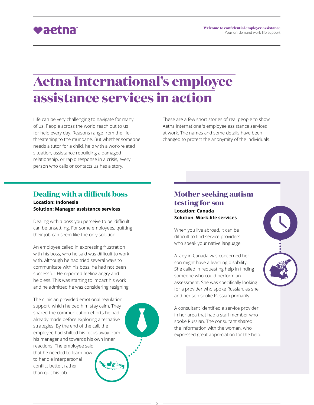

### **Aetna International's employee**  $\overline{\textbf{a}}$ ssistance services in action

Life can be very challenging to navigate for many of us. People across the world reach out to us for help every day. Reasons range from the lifethreatening to the mundane. But whether someone needs a tutor for a child, help with a work-related situation, assistance rebuilding a damaged relationship, or rapid response in a crisis, every person who calls or contacts us has a story.

These are a few short stories of real people to show Aetna International's employee assistance services at work. The names and some details have been changed to protect the anonymity of the individuals.

### **Dealing with a difficult boss**

**Location: Indonesia Solution: Manager assistance services**

Dealing with a boss you perceive to be 'difficult' can be unsettling. For some employees, quitting their job can seem like the only solution.

An employee called in expressing frustration with his boss, who he said was difficult to work with. Although he had tried several ways to communicate with his boss, he had not been successful. He reported feeling angry and helpless. This was starting to impact his work and he admitted he was considering resigning.

The clinician provided emotional regulation support, which helped him stay calm. They shared the communication efforts he had already made before exploring alternative strategies. By the end of the call, the employee had shifted his focus away from his manager and towards his own inner reactions. The employee said that he needed to learn how to handle interpersonal conflict better, rather than quit his job.



#### **Location: Canada Solution: Work-life services**

When you live abroad, it can be difficult to find service providers who speak your native language.

A lady in Canada was concerned her son might have a learning disability. She called in requesting help in finding someone who could perform an assessment. She was specifically looking for a provider who spoke Russian, as she and her son spoke Russian primarily.

A consultant identified a service provider in her area that had a staff member who spoke Russian. The consultant shared the information with the woman, who expressed great appreciation for the help.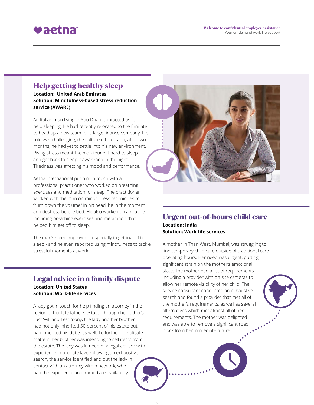#### **Welcome to confidential employee assistance** Your on-demand work-life support

### vaetna

#### **Help getting healthy sleep**

**Location: United Arab Emirates Solution: Mindfulness-based stress reduction service (AWARE)**

An Italian man living in Abu Dhabi contacted us for help sleeping. He had recently relocated to the Emirate to head up a new team for a large finance company. His role was challenging, the culture difficult and, after two months, he had yet to settle into his new environment. Rising stress meant the man found it hard to sleep and get back to sleep if awakened in the night. Tiredness was affecting his mood and performance.

Aetna International put him in touch with a professional practitioner who worked on breathing exercises and meditation for sleep. The practitioner worked with the man on mindfulness techniques to "turn down the volume" in his head, be in the moment and destress before bed. He also worked on a routine including breathing exercises and meditation that helped him get off to sleep.

The man's sleep improved - especially in getting off to sleep - and he even reported using mindfulness to tackle stressful moments at work.

#### Legal advice in a family dispute **Location: United States**

**Solution: Work-life services**

A lady got in touch for help finding an attorney in the region of her late father's estate. Through her father's Last Will and Testimony, the lady and her brother had not only inherited 50 percent of his estate but had inherited his debts as well. To further complicate matters, her brother was intending to sell items from the estate. The lady was in need of a legal advisor with experience in probate law. Following an exhaustive search, the service identified and put the lady in contact with an attorney within network, who had the experience and immediate availability.



#### **Urgent out-of-hours child care Location: India Solution: Work-life services**

A mother in Than West, Mumbai, was struggling to find temporary child care outside of traditional care operating hours. Her need was urgent, putting significant strain on the mother's emotional state. The mother had a list of requirements, including a provider with on-site cameras to allow her remote visibility of her child. The service consultant conducted an exhaustive search and found a provider that met all of the mother's requirements, as well as several alternatives which met almost all of her requirements. The mother was delighted and was able to remove a significant road block from her immediate future.

6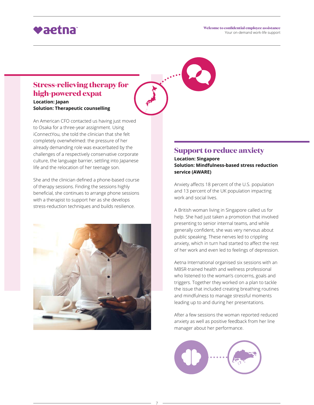### **Stress-relieving therapy for** high-powered expat

**Location: Japan Solution: Therapeutic counselling**

An American CFO contacted us having just moved to Osaka for a three-year assignment. Using iConnectYou, she told the clinician that she felt completely overwhelmed: the pressure of her already demanding role was exacerbated by the challenges of a respectively conservative corporate culture, the language barrier, settling into Japanese life and the relocation of her teenage son.

She and the clinician defined a phone-based course of therapy sessions. Finding the sessions highly beneficial, she continues to arrange phone sessions with a therapist to support her as she develops stress-reduction techniques and builds resilience.



#### **Support to reduce anxiety**

**Location: Singapore Solution: Mindfulness-based stress reduction service (AWARE)**

Anxiety affects 18 percent of the U.S. population and 13 percent of the UK population impacting work and social lives.

A British woman living in Singapore called us for help. She had just taken a promotion that involved presenting to senior internal teams, and while generally confident, she was very nervous about public speaking. These nerves led to crippling anxiety, which in turn had started to affect the rest of her work and even led to feelings of depression.

Aetna International organised six sessions with an MBSR-trained health and wellness professional who listened to the woman's concerns, goals and triggers. Together they worked on a plan to tackle the issue that included creating breathing routines and mindfulness to manage stressful moments leading up to and during her presentations.

After a few sessions the woman reported reduced anxiety as well as positive feedback from her line manager about her performance.



7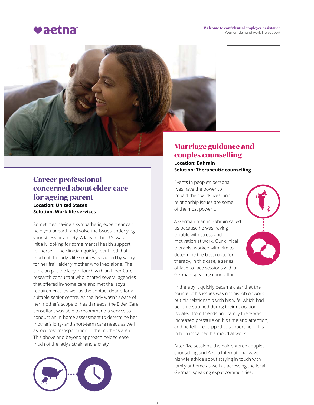**Welcome to confidential employee assistance** Your on-demand work-life support



#### **Career professional <u>concerned</u>** about elder care for ageing parent **Location: United States Solution: Work-life services**

Sometimes having a sympathetic, expert ear can help you unearth and solve the issues underlying your stress or anxiety. A lady in the U.S. was initially looking for some mental health support for herself. The clinician quickly identified that much of the lady's life strain was caused by worry for her frail, elderly mother who lived alone. The clinician put the lady in touch with an Elder Care research consultant who located several agencies that offered in-home care and met the lady's requirements, as well as the contact details for a suitable senior centre. As the lady wasn't aware of her mother's scope of health needs, the Elder Care consultant was able to recommend a service to conduct an in-home assessment to determine her mother's long- and short-term care needs as well as low-cost transportation in the mother's area. This above and beyond approach helped ease much of the lady's strain and anxiety.



### **Marriage guidance and** *<u>couples counselling</u>*

**Location: Bahrain Solution: Therapeutic counselling**

Events in people's personal lives have the power to impact their work lives, and relationship issues are some of the most powerful.

A German man in Bahrain called us because he was having trouble with stress and motivation at work. Our clinical therapist worked with him to determine the best route for therapy, in this case, a series of face-to-face sessions with a German-speaking counsellor.

In therapy it quickly became clear that the source of his issues was not his job or work, but his relationship with his wife, which had become strained during their relocation. Isolated from friends and family there was increased pressure on his time and attention, and he felt ill-equipped to support her. This in turn impacted his mood at work.

After five sessions, the pair entered couples counselling and Aetna International gave his wife advice about staying in touch with family at home as well as accessing the local German-speaking expat communities.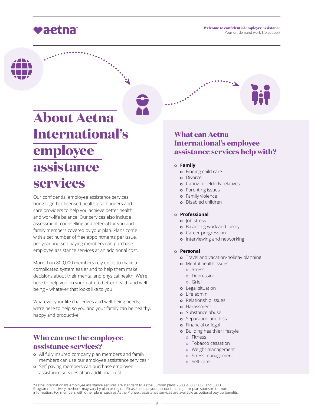

## **About Aetna International's employee**   $\overline{\textbf{assistance}}$ services

Our confidential employee assistance services bring together licensed health practitioners and care providers to help you achieve better health and work-life balance. Our services also include assessment, counselling and referral for you and family members covered by your plan. Plans come with a set number of free appointments per issue, per year and self-paying members can purchase employee assistance services at an additional cost.

More than 800,000 members rely on us to make a complicated system easier and to help them make decisions about their mental and physical health. We're here to help you on your path to better health and wellbeing – whatever that looks like to you.

Whatever your life challenges and well-being needs, we're here to help so you and your family can be healthy, happy and productive.

#### **Who can use the employee** assistance services?

- o All fully insured company plan members and family members can use our employee assistance services.\*
- **o** Self-paying members can purchase employee assistance services at an additional cost.



- **Family**
	- **o** Finding child care
	- o Divorce
	- **o** Caring for elderly relatives
	- **o** Parenting issues
	- **o** Family violence
	- o Disabled children

#### **Professional**

- o lob stress
- **o** Balancing work and family
- **o** Career progression
- o Interviewing and networking

#### **Personal**

- **o** Travel and vacation/holiday planning
- o Mental health issues
	- o Stress
	- **o** Depression
	- Grief
- Legal situation
- Life admin
- **o** Relationship issues
- Harassment
- **o** Substance abuse
- **o** Separation and loss
- **o** Financial or legal
- **o** Building healthier lifestyle
	- o Fitness
	- **o** Tobacco cessation
	- **o** Weight management
	- o Stress management
	- Self-care

\*Aetna International's employee assistance services are standard to Aetna Summit plans 2500, 4000, 5000 and 5000+.<br>Programme delivery methods may vary by plan or region. Please contact your account manager or plan sponsor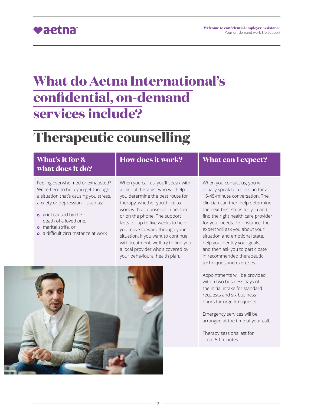#### **Welcome to confidential employee assistance** Your on-demand work-life support

### vaetna

## **What do Aetna International's <u>confidential, on-demand</u>** services include?

### **Therapeutic counselling**

#### **What's it for & what does it do?** Feeling overwhelmed or exhausted? We're here to help you get through a situation that's causing you stress, anxiety or depression – such as: **o** grief caused by the death of a loved one, **How does it work?** When you call us, you'll speak with a clinical therapist who will help you determine the best route for therapy, whether you'd like to work with a counsellor in person or on the phone. The support When you contact us, you will

- **p** marital strife, or
- o a difficult circumstance at work

lasts for up to five weeks to help you move forward through your situation. If you want to continue with treatment, we'll try to find you a local provider who's covered by your behavioural health plan.



#### **What can I expect?**

initially speak to a clinician for a 15-45-minute conversation. The clinician can then help determine the next best steps for you and find the right health care provider for your needs. For instance, the expert will ask you about your situation and emotional state, help you identify your goals, and then ask you to participate in recommended therapeutic techniques and exercises.

Appointments will be provided within two business days of the initial intake for standard requests and six business hours for urgent requests.

Emergency services will be arranged at the time of your call.

Therapy sessions last for up to 50 minutes.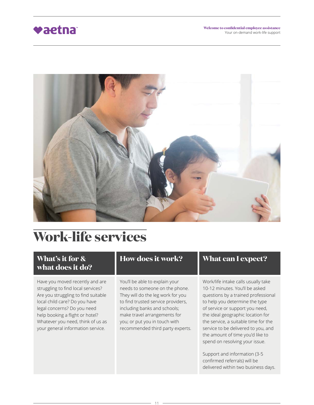

## Work-life services

### **What's it for &** what does it do?

Have you moved recently and are struggling to find local services? Are you struggling to find suitable local child care? Do you have legal concerns? Do you need help booking a flight or hotel? Whatever you need, think of us as your general information service.

#### **How does it work?**

You'll be able to explain your needs to someone on the phone. They will do the leg work for you to find trusted service providers, including banks and schools; make travel arrangements for you; or put you in touch with recommended third party experts.

11

#### **What can I expect?**

Work/life intake calls usually take 10-12 minutes. You'll be asked questions by a trained professional to help you determine the type of service or support you need, the ideal geographic location for the service, a suitable time for the service to be delivered to you, and the amount of time you'd like to spend on resolving your issue.

Support and information (3-5 confirmed referrals) will be delivered within two business days.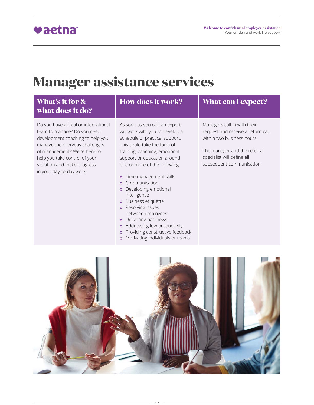

### **Manager assistance services**

#### **What's it for & what does it do?**

Do you have a local or international team to manage? Do you need development coaching to help you manage the everyday challenges of management? We're here to help you take control of your situation and make progress in your day-to-day work.

### **How does it work?**

As soon as you call, an expert will work with you to develop a schedule of practical support. This could take the form of training, coaching, emotional support or education around one or more of the following:

- o Time management skills
- **o** Communication
- **o** Developing emotional intelligence
- **o** Business etiquette **o** Resolving issues
- between employees
- **o** Delivering bad news
- **o** Addressing low productivity
- **o** Providing constructive feedback
- o Motivating individuals or teams

#### **What can I expect?**

Managers call in with their request and receive a return call within two business hours.

The manager and the referral specialist will define all subsequent communication.

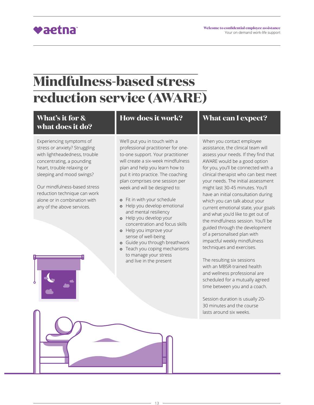## **Mindfulness-based stress**  $reduction$  service (AWARE)

### **What's it for & what does it do?**

Experiencing symptoms of stress or anxiety? Struggling with lightheadedness, trouble concentrating, a pounding heart, trouble relaxing or sleeping and mood swings?

Our mindfulness-based stress reduction technique can work alone or in combination with any of the above services.

### **How does it work?**

We'll put you in touch with a professional practitioner for oneto-one support. Your practitioner will create a six-week mindfulness plan and help you learn how to put it into practice. The coaching plan comprises one session per week and will be designed to:

- **o** Fit in with your schedule
- **o** Help you develop emotional and mental resiliency
- Help you develop your concentration and focus skills
- o Help you improve your sense of well-being
- Guide you through breathwork
- **o** Teach you coping mechanisms to manage your stress and live in the present

13

#### **What can I expect?**

When you contact employee assistance, the clinical team will assess your needs. If they find that AWARE would be a good option for you, you'll be connected with a clinical therapist who can best meet your needs. The initial assessment might last 30-45 minutes. You'll have an initial consultation during which you can talk about your current emotional state, your goals and what you'd like to get out of the mindfulness session. You'll be guided through the development of a personalised plan with impactful weekly mindfulness techniques and exercises.

The resulting six sessions with an MBSR-trained health and wellness professional are scheduled for a mutually agreed time between you and a coach.

Session duration is usually 20- 30 minutes and the course lasts around six weeks.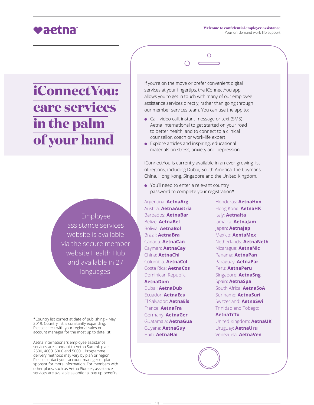## **iConnectYou: Care services in the palm ef your hand**

Employee assistance services website is available via the secure member website Health Hub and available in 27 languages.

\*Country list correct at date of publishing - May 2019. Country list is constantly expanding. Please check with your regional sales or account manager for the most up to date list.

Aetna International's employee assistance services are standard to Aetna Summit plans 2500, 4000, 5000 and 5000+. Programme delivery methods may vary by plan or region. Please contact your account manager or plan sponsor for more information. For members with other plans, such as Aetna Pioneer, assistance services are available as optional buy up benefits.

If you're on the move or prefer convenient digital services at your fingertips, the iConnectYou app allows you to get in touch with many of our employee assistance services directly, rather than going through our member services team. You can use the app to:

- Call, video call, instant message or text (SMS) Aetna International to get started on your road to better health, and to connect to a clinical counsellor, coach or work-life expert.
- $\bullet$  Explore articles and inspiring, educational materials on stress, anxiety and depression.

iConnectYou is currently available in an ever-growing list of regions, including Dubai, South America, the Caymans, China, Hong Kong, Singapore and the United Kingdom.

You'll need to enter a relevant country password to complete your registration\*:

Argentina: **AetnaArg** Austria: **AetnaAustria** Barbados: **AetnaBar** Belize: **AetnaBel** Bolivia: **AetnaBol** Brazil: **AetnaBra** Canada: **AetnaCan** Cayman: **AetnaCay** China: **AetnaChi** Columbia: **AetnaCol** Costa Rica: **AetnaCos** Dominican Republic: **AetnaDom** Dubai: **AetnaDub** Ecuador: **AetnaEcu** El Salvador: **AetnaEls** France: **AetnaFra** Germany: **AetnaGer** Guatamala: **AetnaGua** Guyana: **AetnaGuy** Haiti: **AetnaHai**

Honduras: **AetnaHon** Hong Kong: **AetnaHK** Italy: **AetnaIta** Jamaica: AetnaJam lapan: AetnaJap Mexico: **AentaMex** Netherlands: **AetnaNeth** Nicaragua: **AetnaNic** Panama: **AetnaPan** Paraguay: **AetnaPar** Peru: **AetnaPeru** Singapore: **AetnaSng** Spain: **AetnaSpa** South Africa: **AetnaSoA** Suriname: **AetnaSuri** Switzerland: **AetnaSwi** Trinidad and Tobago: **AetnaTrTo** United Kingdom: **AetnaUK** Uruguay: AetnaUru Venezuela: **AetnaVen**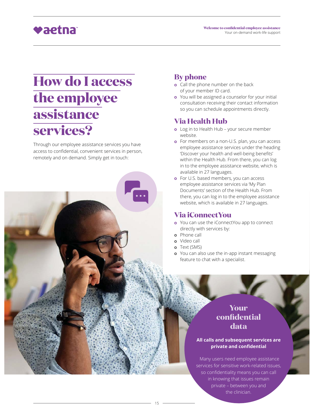

## **How do I access the employee**   $\overline{\textbf{assistance}}$ services?

Through our employee assistance services you have access to confidential, convenient services in person, remotely and on demand. Simply get in touch:

### **By phone**

- **o** Call the phone number on the back of your member ID card.
- You will be assigned a counselor for your initial consultation receiving their contact information so you can schedule appointments directly.

#### **Via Health Hub**

- o Log in to Health Hub your secure member website.
- **o** For members on a non-U.S. plan, you can access employee assistance services under the heading 'Discover your health and well-being benefits' within the Health Hub. From there, you can log in to the employee assistance website, which is available in 27 languages.
- **o** For U.S. based members, you can access employee assistance services via 'My Plan Documents' section of the Health Hub. From there, you can log in to the employee assistance website, which is available in 27 languages.

#### **Via iConnectYou**

- o You can use the iConnectYou app to connect directly with services by:
- **o** Phone call
- Video call
- o Text (SMS)

15

**o** You can also use the in-app instant messaging feature to chat with a specialist.

### **Your** *<u>confidential</u>* data

#### **All calls and subsequent services are private and confidential**

Many users need employee assistance services for sensitive work-related issues, so confidentiality means you can call in knowing that issues remain private – between you and the clinician.